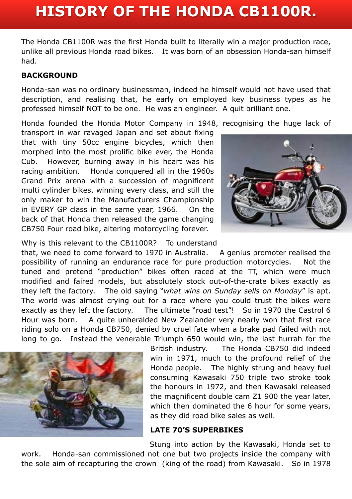# **HISTORY OF THE HONDA CB1100R.**

The Honda CB1100R was the first Honda built to literally win a major production race, unlike all previous Honda road bikes. It was born of an obsession Honda-san himself had.

#### **BACKGROUND**

Honda-san was no ordinary businessman, indeed he himself would not have used that description, and realising that, he early on employed key business types as he professed himself NOT to be one. He was an engineer. A quit brilliant one.

Honda founded the Honda Motor Company in 1948, recognising the huge lack of

transport in war ravaged Japan and set about fixing that with tiny 50cc engine bicycles, which then morphed into the most prolific bike ever, the Honda Cub. However, burning away in his heart was his racing ambition. Honda conquered all in the 1960s Grand Prix arena with a succession of magnificent multi cylinder bikes, winning every class, and still the only maker to win the Manufacturers Championship in EVERY GP class in the same year, 1966. On the back of that Honda then released the game changing CB750 Four road bike, altering motorcycling forever.



Why is this relevant to the CB1100R? To understand

that, we need to come forward to 1970 in Australia. A genius promoter realised the possibility of running an endurance race for pure production motorcycles. Not the tuned and pretend "production" bikes often raced at the TT, which were much modified and faired models, but absolutely stock out-of-the-crate bikes exactly as they left the factory. The old saying "*what wins on Sunday sells on Monday*" is apt. The world was almost crying out for a race where you could trust the bikes were exactly as they left the factory. The ultimate "road test"! So in 1970 the Castrol 6 Hour was born. A quite unheralded New Zealander very nearly won that first race riding solo on a Honda CB750, denied by cruel fate when a brake pad failed with not long to go. Instead the venerable Triumph 650 would win, the last hurrah for the



British industry. The Honda CB750 did indeed win in 1971, much to the profound relief of the Honda people. The highly strung and heavy fuel consuming Kawasaki 750 triple two stroke took the honours in 1972, and then Kawasaki released the magnificent double cam Z1 900 the year later, which then dominated the 6 hour for some years, as they did road bike sales as well.

### **LATE 70'S SUPERBIKES**

Stung into action by the Kawasaki, Honda set to work. Honda-san commissioned not one but two projects inside the company with the sole aim of recapturing the crown (king of the road) from Kawasaki. So in 1978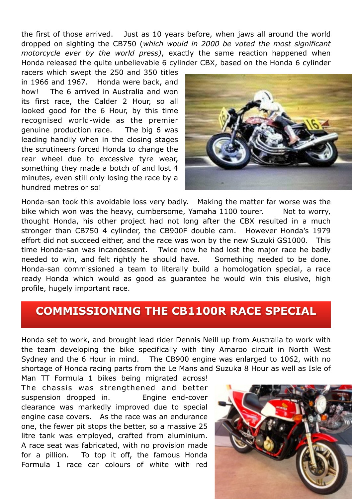the first of those arrived. Just as 10 years before, when jaws all around the world dropped on sighting the CB750 (*which would in 2000 be voted the most significant motorcycle ever by the world press)*, exactly the same reaction happened when Honda released the quite unbelievable 6 cylinder CBX, based on the Honda 6 cylinder

racers which swept the 250 and 350 titles in 1966 and 1967. Honda were back, and how! The 6 arrived in Australia and won its first race, the Calder 2 Hour, so all looked good for the 6 Hour, by this time recognised world-wide as the premier genuine production race. The big 6 was leading handily when in the closing stages the scrutineers forced Honda to change the rear wheel due to excessive tyre wear, something they made a botch of and lost 4 minutes, even still only losing the race by a hundred metres or so!



Honda-san took this avoidable loss very badly. Making the matter far worse was the bike which won was the heavy, cumbersome, Yamaha 1100 tourer. Not to worry, thought Honda, his other project had not long after the CBX resulted in a much stronger than CB750 4 cylinder, the CB900F double cam. However Honda's 1979 effort did not succeed either, and the race was won by the new Suzuki GS1000. This time Honda-san was incandescent. Twice now he had lost the major race he badly needed to win, and felt rightly he should have. Something needed to be done. Honda-san commissioned a team to literally build a homologation special, a race ready Honda which would as good as guarantee he would win this elusive, high profile, hugely important race.

### **COMMISSIONING THE CB1100R RACE SPECIAL**

Honda set to work, and brought lead rider Dennis Neill up from Australia to work with the team developing the bike specifically with tiny Amaroo circuit in North West Sydney and the 6 Hour in mind. The CB900 engine was enlarged to 1062, with no shortage of Honda racing parts from the Le Mans and Suzuka 8 Hour as well as Isle of

Man TT Formula 1 bikes being migrated across! The chassis was strengthened and better suspension dropped in. Engine end-cover clearance was markedly improved due to special engine case covers. As the race was an endurance one, the fewer pit stops the better, so a massive 25 litre tank was employed, crafted from aluminium. A race seat was fabricated, with no provision made for a pillion. To top it off, the famous Honda Formula 1 race car colours of white with red

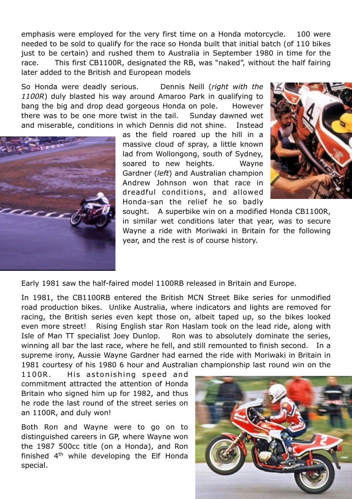emphasis were employed for the very first time on a Honda motorcycle. 100 were needed to be sold to qualify for the race so Honda built that initial batch (of 110 bikes just to be certain) and rushed them to Australia in September 1980 in time for the race. This first CB1100R, designated the RB, was "naked", without the half fairing later added to the British and European models

So Honda were deadly serious. Dennis Neill (*right with the 1100R*) duly blasted his way around Amaroo Park in qualifying to bang the big and drop dead gorgeous Honda on pole. However there was to be one more twist in the tail. Sunday dawned wet and miserable, conditions in which Dennis did not shine. Instead



as the field roared up the hill in a massive cloud of spray, a little known lad from Wollongong, south of Sydney, soared to new heights. Wayne Gardner (*left*) and Australian champion Andrew Johnson won that race in dreadful conditions, and allowed Honda-san the relief he so badly



sought. A superbike win on a modified Honda CB1100R, in similar wet conditions later that year, was to secure Wayne a ride with Moriwaki in Britain for the following year, and the rest is of course history.

Early 1981 saw the half-faired model 1100RB released in Britain and Europe.

In 1981, the CB1100RB entered the British MCN Street Bike series for unmodified road production bikes. Unlike Australia, where indicators and lights are removed for racing, the British series even kept those on, albeit taped up, so the bikes looked even more street! Rising English star Ron Haslam took on the lead ride, along with Isle of Man TT specialist Joey Dunlop. Ron was to absolutely dominate the series, winning all bar the last race, where he fell, and still remounted to finish second. In a supreme irony, Aussie Wayne Gardner had earned the ride with Moriwaki in Britain in 1981 courtesy of his 1980 6 hour and Australian championship last round win on the

1100R. His astonishing speed and commitment attracted the attention of Honda Britain who signed him up for 1982, and thus he rode the last round of the street series on an 1100R, and duly won!

Both Ron and Wayne were to go on to distinguished careers in GP, where Wayne won the 1987 500cc title (on a Honda), and Ron finished  $4<sup>th</sup>$  while developing the Elf Honda special.

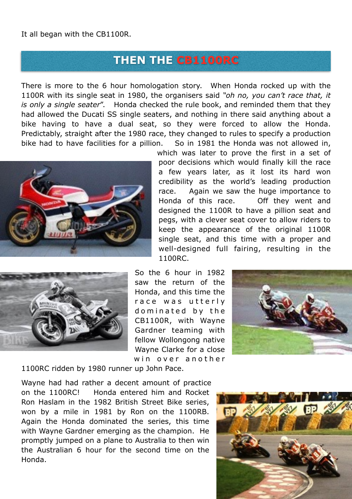It all began with the CB1100R.

### **THEN THE CB1100RC**

There is more to the 6 hour homologation story. When Honda rocked up with the 1100R with its single seat in 1980, the organisers said *"oh no, you can't race that, it is only a single seater*". Honda checked the rule book, and reminded them that they had allowed the Ducati SS single seaters, and nothing in there said anything about a bike having to have a dual seat, so they were forced to allow the Honda. Predictably, straight after the 1980 race, they changed to rules to specify a production bike had to have facilities for a pillion. So in 1981 the Honda was not allowed in,



which was later to prove the first in a set of poor decisions which would finally kill the race a few years later, as it lost its hard won credibility as the world's leading production race. Again we saw the huge importance to Honda of this race. Off they went and designed the 1100R to have a pillion seat and pegs, with a clever seat cover to allow riders to keep the appearance of the original 1100R single seat, and this time with a proper and well-designed full fairing, resulting in the 1100RC.



So the 6 hour in 1982 saw the return of the Honda, and this time the race was utterly dominated by the CB1100R, with Wayne Gardner teaming with fellow Wollongong native Wayne Clarke for a close win over another



1100RC ridden by 1980 runner up John Pace.

Wayne had had rather a decent amount of practice on the 1100RC! Honda entered him and Rocket Ron Haslam in the 1982 British Street Bike series, won by a mile in 1981 by Ron on the 1100RB. Again the Honda dominated the series, this time with Wayne Gardner emerging as the champion. He promptly jumped on a plane to Australia to then win the Australian 6 hour for the second time on the Honda.